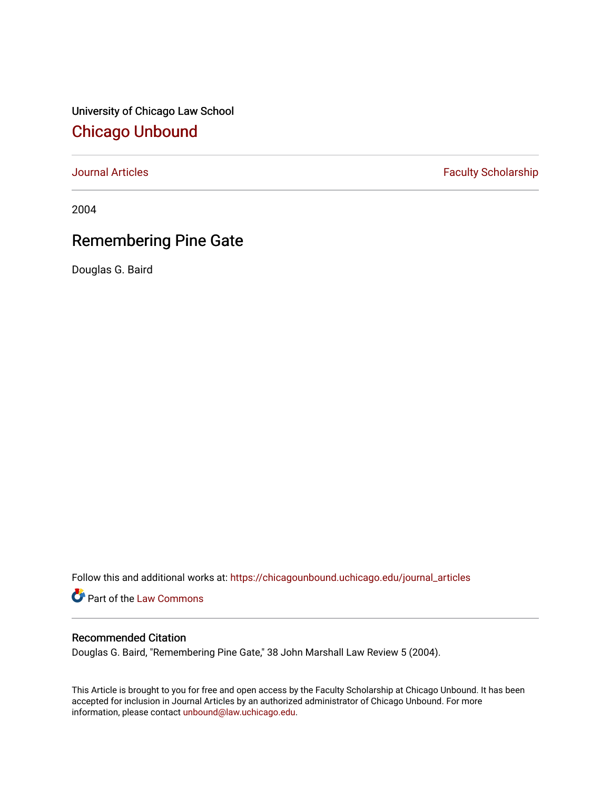University of Chicago Law School [Chicago Unbound](https://chicagounbound.uchicago.edu/)

[Journal Articles](https://chicagounbound.uchicago.edu/journal_articles) **Faculty Scholarship Faculty Scholarship** 

2004

# Remembering Pine Gate

Douglas G. Baird

Follow this and additional works at: [https://chicagounbound.uchicago.edu/journal\\_articles](https://chicagounbound.uchicago.edu/journal_articles?utm_source=chicagounbound.uchicago.edu%2Fjournal_articles%2F1030&utm_medium=PDF&utm_campaign=PDFCoverPages) 

Part of the [Law Commons](http://network.bepress.com/hgg/discipline/578?utm_source=chicagounbound.uchicago.edu%2Fjournal_articles%2F1030&utm_medium=PDF&utm_campaign=PDFCoverPages)

# Recommended Citation

Douglas G. Baird, "Remembering Pine Gate," 38 John Marshall Law Review 5 (2004).

This Article is brought to you for free and open access by the Faculty Scholarship at Chicago Unbound. It has been accepted for inclusion in Journal Articles by an authorized administrator of Chicago Unbound. For more information, please contact [unbound@law.uchicago.edu](mailto:unbound@law.uchicago.edu).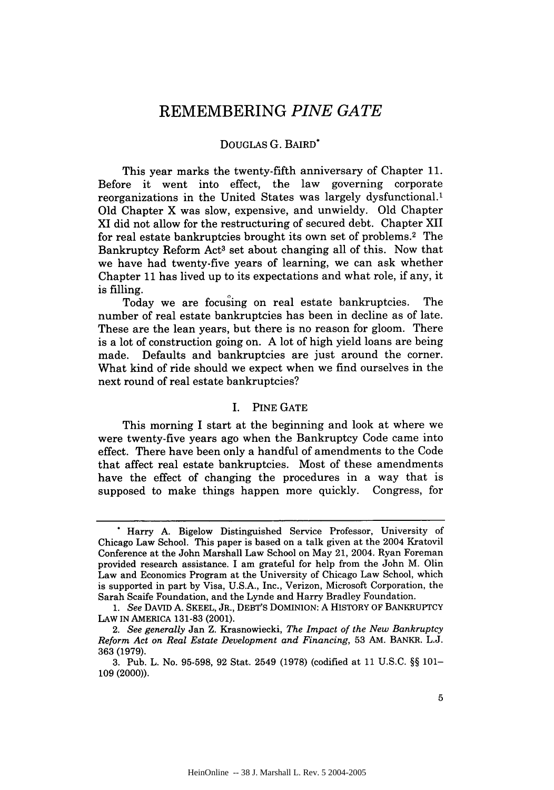# REMEMBERING *PINE GATE*

# DOUGLAS G. BAIRD\*

This year marks the twenty-fifth anniversary of Chapter 11. Before it went into effect, the law governing corporate reorganizations in the United States was largely dysfunctional.1 Old Chapter X was slow, expensive, and unwieldy. Old Chapter XI did not allow for the restructuring of secured debt. Chapter XII for real estate bankruptcies brought its own set of problems.<sup>2</sup> The Bankruptcy Reform Act<sup>3</sup> set about changing all of this. Now that we have had twenty-five years of learning, we can ask whether Chapter 11 has lived up to its expectations and what role, if any, it is filling.

Today we are focusing on real estate bankruptcies. The number of real estate bankruptcies has been in decline as of late. These are the lean years, but there is no reason for gloom. There is a lot of construction going on. A lot of high yield loans are being made. Defaults and bankruptcies are just around the corner. What kind of ride should we expect when we find ourselves in the next round of real estate bankruptcies?

## I. PINE GATE

This morning I start at the beginning and look at where we were twenty-five years ago when the Bankruptcy Code came into effect. There have been only a handful of amendments to the Code that affect real estate bankruptcies. Most of these amendments have the effect of changing the procedures in a way that is supposed to make things happen more quickly. Congress, for

Harry A. Bigelow Distinguished Service Professor, University of Chicago Law School. This paper is based on a talk given at the 2004 Kratovil Conference at the John Marshall Law School on May 21, 2004. Ryan Foreman provided research assistance. I am grateful for help from the John M. Olin Law and Economics Program at the University of Chicago Law School, which is supported in part by Visa, U.S.A., Inc., Verizon, Microsoft Corporation, the Sarah Scaife Foundation, and the Lynde and Harry Bradley Foundation.

*<sup>1.</sup> See* DAVID A. SKEEL, JR., DEBT'S DOMINION: A HISTORY OF BANKRUPTcY LAW IN AMERICA 131-83 (2001).

<sup>2.</sup> *See generally* Jan Z. Krasnowiecki, *The Impact of the New Bankruptcy Reform Act on Real Estate Development and Financing,* 53 AM. BANKR. L.J. 363 (1979).

<sup>3.</sup> Pub. L. No. 95-598, 92 Stat. 2549 (1978) (codified at 11 U.S.C. §§ 101- 109 (2000)).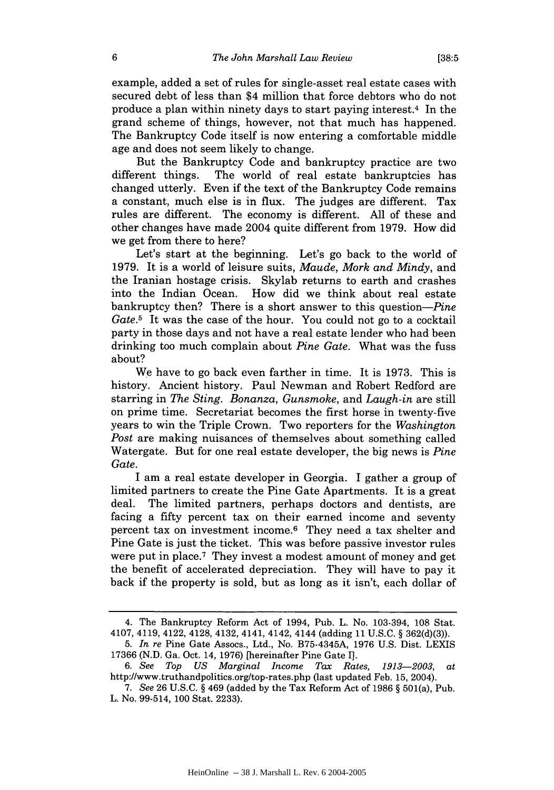example, added a set of rules for single-asset real estate cases with secured debt of less than \$4 million that force debtors who do not produce a plan within ninety days to start paying interest.4 In the grand scheme of things, however, not that much has happened. The Bankruptcy Code itself is now entering a comfortable middle age and does not seem likely to change.

But the Bankruptcy Code and bankruptcy practice are two different things. The world of real estate bankruptcies has The world of real estate bankruptcies has changed utterly. Even if the text of the Bankruptcy Code remains a constant, much else is in flux. The judges are different. Tax rules are different. The economy is different. All of these and other changes have made 2004 quite different from 1979. How did we get from there to here?

Let's start at the beginning. Let's go back to the world of 1979. It is a world of leisure suits, *Maude, Mork and Mindy,* and the Iranian hostage crisis. Skylab returns to earth and crashes into the Indian Ocean. How did we think about real estate bankruptcy then? There is a short answer to this question-Pine *Gate.5* It was the case of the hour. You could not go to a cocktail party in those days and not have a real estate lender who had been drinking too much complain about *Pine Gate.* What was the fuss about?

We have to go back even farther in time. It is 1973. This is history. Ancient history. Paul Newman and Robert Redford are starring in *The Sting. Bonanza, Gunsmoke,* and *Laugh-in* are still on prime time. Secretariat becomes the first horse in twenty-five years to win the Triple Crown. Two reporters for the *Washington Post* are making nuisances of themselves about something called Watergate. But for one real estate developer, the big news is *Pine Gate.*

I am a real estate developer in Georgia. I gather a group of limited partners to create the Pine Gate Apartments. It is a great deal. The limited partners, perhaps doctors and dentists, are facing a fifty percent tax on their earned income and seventy percent tax on investment income.<sup>6</sup> They need a tax shelter and Pine Gate is just the ticket. This was before passive investor rules were put in place.7 They invest a modest amount of money and get the benefit of accelerated depreciation. They will have to pay it back if the property is sold, but as long as it isn't, each dollar of

**[38:5**

 $6\phantom{1}6$ 

<sup>4.</sup> The Bankruptcy Reform Act of 1994, Pub. L. No. 103-394, 108 Stat. 4107, 4119, 4122, 4128, 4132, 4141, 4142, 4144 (adding 11 U.S.C. § 362(d)(3)).

<sup>5.</sup> *In re* Pine Gate Assocs., Ltd., No. B75-4345A, 1976 U.S. Dist. LEXIS 17366 (N.D. Ga. Oct. 14, 1976) [hereinafter Pine Gate **11.**

*<sup>6.</sup> See Top US Marginal Income Tax Rates, 1913-2003, at* http://www.truthandpolitics.org/top-rates.php (last updated Feb. 15, 2004).

<sup>7.</sup> *See* 26 U.S.C. § 469 (added by the Tax Reform Act of 1986 § 501(a), Pub. L. No. 99-514, 100 Stat. 2233).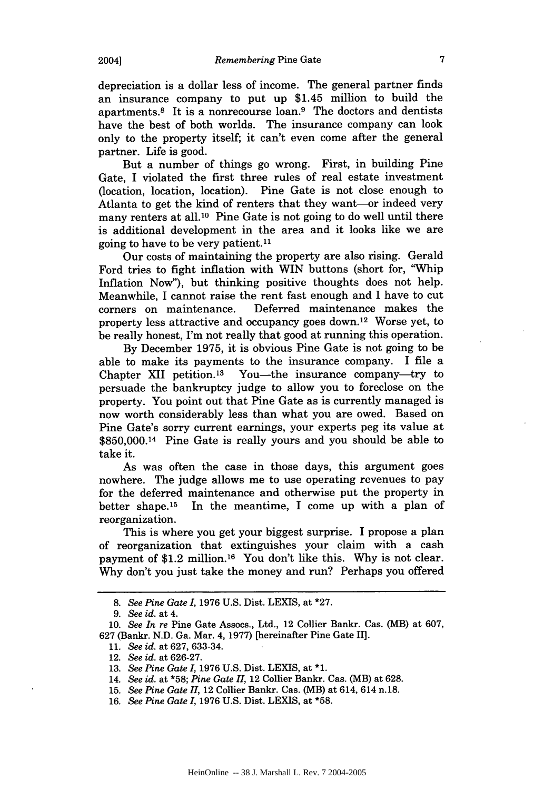depreciation is a dollar less of income. The general partner finds an insurance company to put up \$1.45 million to build the apartments.8 It is a nonrecourse loan.9 The doctors and dentists have the best of both worlds. The insurance company can look only to the property itself; it can't even come after the general partner. Life is good.

But a number of things go wrong. First, in building Pine Gate, I violated the first three rules of real estate investment (location, location, location). Pine Gate is not close enough to Atlanta to get the kind of renters that they want-or indeed very many renters at all.<sup>10</sup> Pine Gate is not going to do well until there is additional development in the area and it looks like we are going to have to be very patient.<sup>11</sup>

Our costs of maintaining the property are also rising. Gerald Ford tries to fight inflation with WIN buttons (short for, "Whip Inflation Now"), but thinking positive thoughts does not help. Meanwhile, I cannot raise the rent fast enough and I have to cut corners on maintenance. Deferred maintenance makes the property less attractive and occupancy goes down. 12 Worse yet, to be really honest, I'm not really that good at running this operation.

By December 1975, it is obvious Pine Gate is not going to be able to make its payments to the insurance company. I file a Chapter XII petition.<sup>13</sup> You—the insurance company—try to persuade the bankruptcy judge to allow you to foreclose on the property. You point out that Pine Gate as is currently managed is now worth considerably less than what you are owed. Based on Pine Gate's sorry current earnings, your experts peg its value at \$850,000.14 Pine Gate is really yours and you should be able to take it.

As was often the case in those days, this argument goes nowhere. The judge allows me to use operating revenues to pay for the deferred maintenance and otherwise put the property in better shape.<sup>15</sup> In the meantime, I come up with a plan of reorganization.

This is where you get your biggest surprise. I propose a plan of reorganization that extinguishes your claim with a cash payment of \$1.2 million. 16 You don't like this. Why is not clear. Why don't you just take the money and run? Perhaps you offered

*<sup>8.</sup> See Pine Gate I,* 1976 U.S. Dist. LEXIS, at \*27.

*<sup>9.</sup> See id.* at 4.

<sup>10.</sup> *See In re* Pine Gate Assocs., Ltd., 12 Collier Bankr. Cas. (MB) at 607, 627 (Bankr. N.D. Ga. Mar. 4, 1977) [hereinafter Pine Gate II].

<sup>11.</sup> *See id.* at 627, 633-34.

<sup>12.</sup> *See id.* at 626-27.

<sup>13.</sup> *See Pine Gate I,* 1976 U.S. Dist. LEXIS, at \*1.

<sup>14.</sup> *See id.* at \*58; *Pine Gate II,* 12 Collier Bankr. Cas. (MB) at 628.

<sup>15.</sup> *See Pine Gate II,* 12 Collier Bankr. Cas. (MB) at 614, 614 n.18.

<sup>16.</sup> *See Pine Gate I,* 1976 U.S. Dist. LEXIS, at \*58.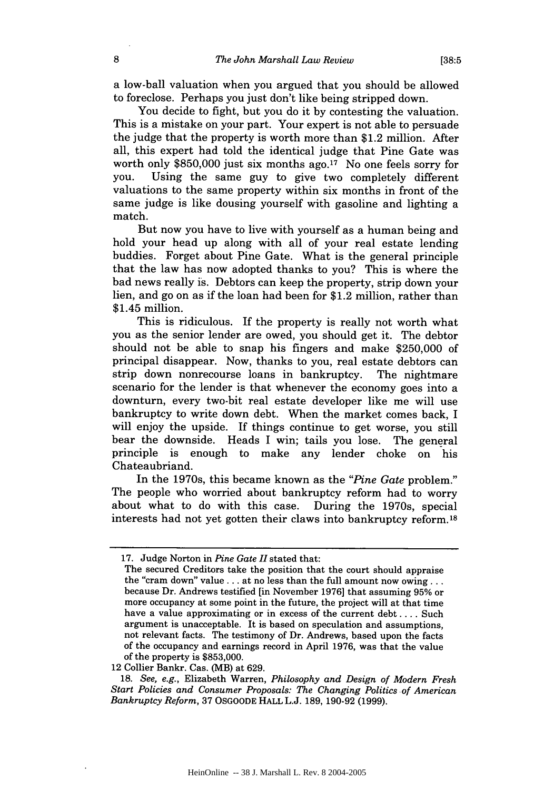**[38:5**

a low-ball valuation when you argued that you should be allowed to foreclose. Perhaps you just don't like being stripped down.

You decide to fight, but you do it by contesting the valuation. This is a mistake on your part. Your expert is not able to persuade the judge that the property is worth more than \$1.2 million. After all, this expert had told the identical judge that Pine Gate was worth only  $$850,000$  just six months ago.<sup>17</sup> No one feels sorry for vou. Using the same guy to give two completely different Using the same guy to give two completely different valuations to the same property within six months in front of the same judge is like dousing yourself with gasoline and lighting a match.

But now you have to live with yourself as a human being and hold your head up along with all of your real estate lending buddies. Forget about Pine Gate. What is the general principle that the law has now adopted thanks to you? This is where the bad news really is. Debtors can keep the property, strip down your lien, and go on as if the loan had been for \$1.2 million, rather than \$1.45 million.

This is ridiculous. If the property is really not worth what you as the senior lender are owed, you should get it. The debtor should not be able to snap his fingers and make \$250,000 of principal disappear. Now, thanks to you, real estate debtors can strip down nonrecourse loans in bankruptcy. The nightmare scenario for the lender is that whenever the economy goes into a downturn, every two-bit real estate developer like me will use bankruptcy to write down debt. When the market comes back, I will enjoy the upside. If things continue to get worse, you still bear the downside. Heads I win; tails you lose. The general principle is enough to make any lender choke on his Chateaubriand.

In the 1970s, this became known as the *"Pine Gate* problem." The people who worried about bankruptcy reform had to worry about what to do with this case. During the 1970s, special interests had not yet gotten their claws into bankruptcy reform.<sup>18</sup>

18. *See, e.g.,* Elizabeth Warren, *Philosophy and Design of Modern Fresh Start Policies and Consumer Proposals: The Changing Politics of American Bankruptcy Reform,* 37 OSGOODE HALL L.J. 189, 190-92 (1999).

<sup>17.</sup> Judge Norton in *Pine Gate II* stated that:

The secured Creditors take the position that the court should appraise the "cram down" value **...** at no less than the full amount now owing... because Dr. Andrews testified [in November 1976] that assuming **95%** or more occupancy at some point in the future, the project will at that time have a value approximating or in excess of the current debt.... Such argument is unacceptable. It is based on speculation and assumptions, not relevant facts. The testimony of Dr. Andrews, based upon the facts of the occupancy and earnings record in April 1976, was that the value of the property is \$853,000.

<sup>12</sup> Collier Bankr. Cas. (MB) at 629.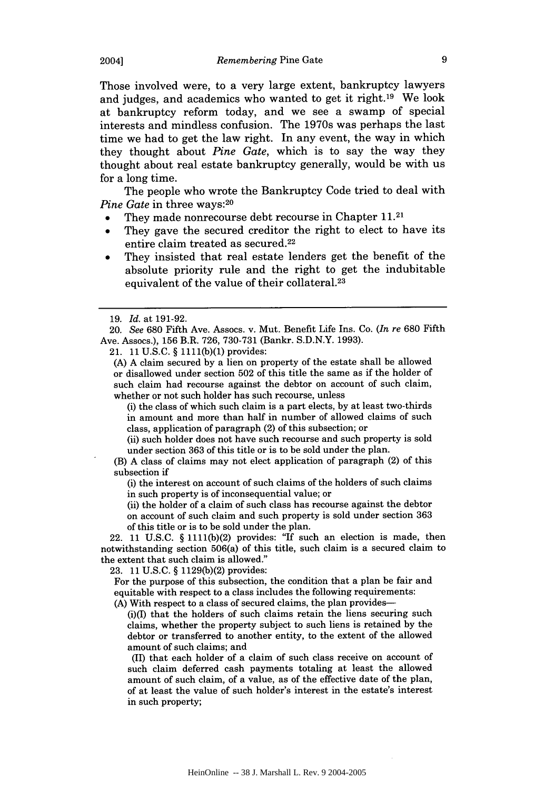Those involved were, to a very large extent, bankruptcy lawyers and judges, and academics who wanted to get it right.<sup>19</sup> We look at bankruptcy reform today, and we see a swamp of special interests and mindless confusion. The 1970s was perhaps the last time we had to get the law right. In any event, the way in which they thought about *Pine Gate,* which is to say the way they thought about real estate bankruptcy generally, would be with us for a long time.

The people who wrote the Bankruptcy Code tried to deal with *Pine Gate* in three ways: 20

- They made nonrecourse debt recourse in Chapter 11.<sup>21</sup>
- They gave the secured creditor the right to elect to have its entire claim treated as secured.<sup>22</sup>
- They insisted that real estate lenders get the benefit of the absolute priority rule and the right to get the indubitable equivalent of the value of their collateral.<sup>23</sup>

21. 11 U.S.C. § 1111(b)(1) provides:

(A) A claim secured by a lien on property of the estate shall be allowed or disallowed under section 502 of this title the same as if the holder of such claim had recourse against the debtor on account of such claim, whether or not such holder has such recourse, unless

(i) the class of which such claim is a part elects, by at least two-thirds in amount and more than half in number of allowed claims of such class, application of paragraph (2) of this subsection; or

(ii) such holder does not have such recourse and such property is sold under section 363 of this title or is to be sold under the plan.

(B) A class of claims may not elect application of paragraph (2) of this subsection if

(i) the interest on account of such claims of the holders of such claims in such property is of inconsequential value; or

(ii) the holder of a claim of such class has recourse against the debtor on account of such claim and such property is sold under section 363 of this title or is to be sold under the plan.

22. 11 U.S.C. § 1111(b)(2) provides: "If such an election is made, then notwithstanding section 506(a) of this title, such claim is a secured claim to the extent that such claim is allowed."

23. 11 U.S.C. § 1129(b)(2) provides:

For the purpose of this subsection, the condition that a plan be fair and equitable with respect to a class includes the following requirements: (A) With respect to a class of secured claims, the plan provides-

(i)(1) that the holders of such claims retain the liens securing such

claims, whether the property subject to such liens is retained by the debtor or transferred to another entity, to the extent of the allowed amount of such claims; and

(II) that each holder of a claim of such class receive on account of such claim deferred cash payments totaling at least the allowed amount of such claim, of a value, as of the effective date of the plan, of at least the value of such holder's interest in the estate's interest in such property;

2004]

<sup>19.</sup> *Id.* at 191-92.

<sup>20.</sup> *See* 680 Fifth Ave. Assocs. v. Mut. Benefit Life Ins. Co. *(In re* 680 Fifth Ave. Assocs.), 156 B.R. 726, 730-731 (Bankr. S.D.N.Y. 1993).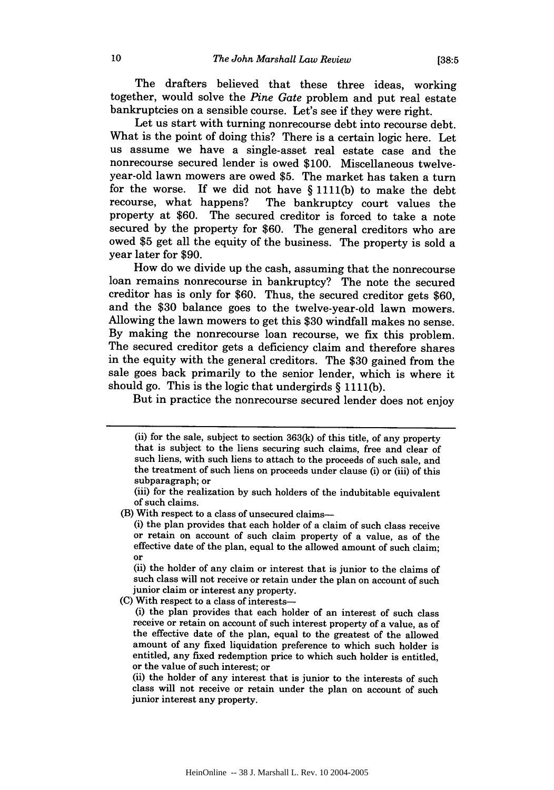The drafters believed that these three ideas, working together, would solve the *Pine Gate* problem and put real estate bankruptcies on a sensible course. Let's see if they were right.

Let us start with turning nonrecourse debt into recourse debt. What is the point of doing this? There is a certain logic here. Let us assume we have a single-asset real estate case and the nonrecourse secured lender is owed \$100. Miscellaneous twelveyear-old lawn mowers are owed \$5. The market has taken a turn for the worse. If we did not have § **1111(b)** to make the debt recourse, what happens? The bankruptcy court values the property at \$60. The secured creditor is forced to take a note secured by the property for \$60. The general creditors who are owed \$5 get all the equity of the business. The property is sold a year later for \$90.

How do we divide up the cash, assuming that the nonrecourse loan remains nonrecourse in bankruptcy? The note the secured creditor has is only for \$60. Thus, the secured creditor gets \$60, and the \$30 balance goes to the twelve-year-old lawn mowers. Allowing the lawn mowers to get this \$30 windfall makes no sense. By making the nonrecourse loan recourse, we fix this problem. The secured creditor gets a deficiency claim and therefore shares in the equity with the general creditors. The \$30 gained from the sale goes back primarily to the senior lender, which is where it should go. This is the logic that undergirds § **1111(b).**

But in practice the nonrecourse secured lender does not enjoy

(ii) the holder of any claim or interest that is junior to the claims of such class will not receive or retain under the plan on account of such junior claim or interest any property.

(C) With respect to a class of interests-

<sup>(</sup>ii) for the sale, subject to section 363(k) of this title, of any property that is subject to the liens securing such claims, free and clear of such liens, with such liens to attach to the proceeds of such sale, and the treatment of such liens on proceeds under clause (i) or (iii) of this

<sup>(</sup>iii) for the realization by such holders of the indubitable equivalent of such claims.

<sup>(</sup>B) With respect to a class of unsecured claims-

<sup>(</sup>i) the plan provides that each holder of a claim of such class receive or retain on account of such claim property of a value, as of the effective date of the plan, equal to the allowed amount of such claim; or

<sup>(</sup>i) the plan provides that each holder of an interest of such class receive or retain on account of such interest property of a value, as of the effective date of the plan, equal to the greatest of the allowed amount of any fixed liquidation preference to which such holder is entitled, any fixed redemption price to which such holder is entitled, or the value of such interest; or (ii) the holder of any interest that is junior to the interests of such

class will not receive or retain under the plan on account of such junior interest any property.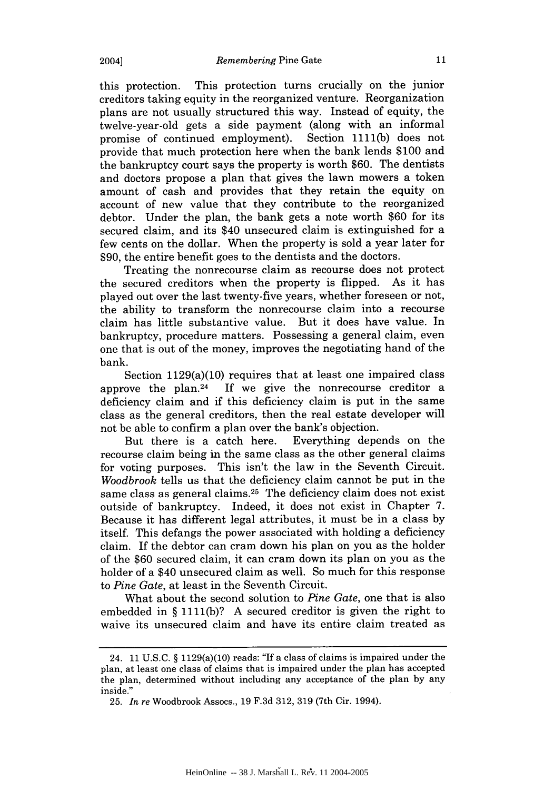this protection. This protection turns crucially on the junior creditors taking equity in the reorganized venture. Reorganization plans are not usually structured this way. Instead of equity, the twelve-year-old gets a side payment (along with an informal promise of continued employment). Section **1111(b)** does not provide that much protection here when the bank lends \$100 and the bankruptcy court says the property is worth \$60. The dentists and doctors propose a plan that gives the lawn mowers a token amount of cash and provides that they retain the equity on account of new value that they contribute to the reorganized debtor. Under the plan, the bank gets a note worth \$60 for its secured claim, and its \$40 unsecured claim is extinguished for a few cents on the dollar. When the property is sold a year later for \$90, the entire benefit goes to the dentists and the doctors.

Treating the nonrecourse claim as recourse does not protect the secured creditors when the property is flipped. As it has played out over the last twenty-five years, whether foreseen or not, the ability to transform the nonrecourse claim into a recourse claim has little substantive value. But it does have value. In bankruptcy, procedure matters. Possessing a general claim, even one that is out of the money, improves the negotiating hand of the bank.

Section 1129(a)(10) requires that at least one impaired class approve the plan.24 If we give the nonrecourse creditor a deficiency claim and if this deficiency claim is put in the same class as the general creditors, then the real estate developer will not be able to confirm a plan over the bank's objection.

But there is a catch here. Everything depends on the recourse claim being in the same class as the other general claims for voting purposes. This isn't the law in the Seventh Circuit. *Woodbrook* tells us that the deficiency claim cannot be put in the same class as general claims.<sup>25</sup> The deficiency claim does not exist outside of bankruptcy. Indeed, it does not exist in Chapter 7. Because it has different legal attributes, it must be in a class by itself. This defangs the power associated with holding a deficiency claim. If the debtor can cram down his plan on you as the holder of the \$60 secured claim, it can cram down its plan on you as the holder of a \$40 unsecured claim as well. So much for this response to *Pine Gate,* at least in the Seventh Circuit.

What about the second solution to *Pine* Gate, one that is also embedded in § **1111(b)?** A secured creditor is given the right to waive its unsecured claim and have its entire claim treated as

<sup>24. 11</sup> U.S.C. § 1129(a)(10) reads: "If a class of claims is impaired under the plan, at least one class of claims that is impaired under the plan has accepted the plan, determined without including any acceptance of the plan by any inside."

<sup>25.</sup> *In re* Woodbrook Assocs., 19 F.3d 312, 319 (7th Cir. 1994).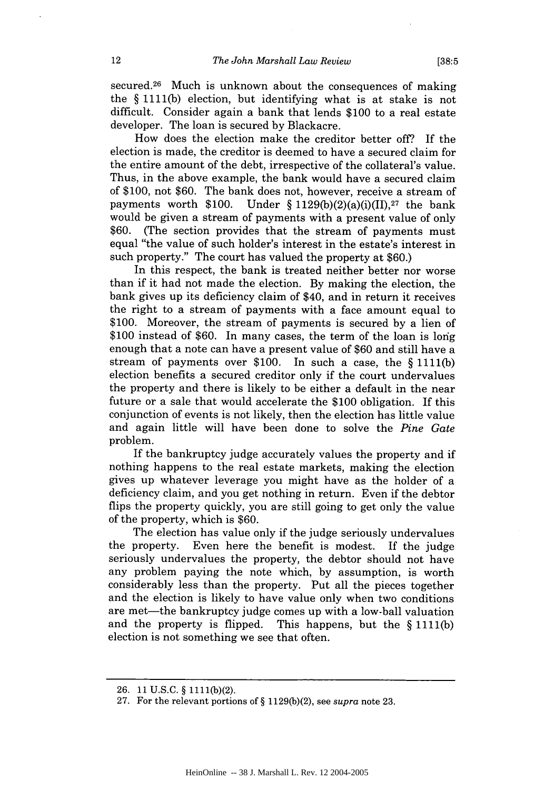**[38:5**

secured.<sup>26</sup> Much is unknown about the consequences of making the § 1111(b) election, but identifying what is at stake is not difficult. Consider again a bank that lends \$100 to a real estate developer. The loan is secured by Blackacre.

How does the election make the creditor better off? If the election is made, the creditor is deemed to have a secured claim for the entire amount of the debt, irrespective of the collateral's value. Thus, in the above example, the bank would have a secured claim of \$100, not \$60. The bank does not, however, receive a stream of payments worth \$100. Under  $$1129(b)(2)(a)(i)(II).^{27}$  the bank would be given a stream of payments with a present value of only \$60. (The section provides that the stream of payments must equal "the value of such holder's interest in the estate's interest in such property." The court has valued the property at \$60.)

In this respect, the bank is treated neither better nor worse than if it had not made the election. By making the election, the bank gives up its deficiency claim of \$40, and in return it receives the right to a stream of payments with a face amount equal to \$100. Moreover, the stream of payments is secured by a lien of \$100 instead of \$60. In many cases, the term of the loan is long enough that a note can have a present value of \$60 and still have a stream of payments over \$100. In such a case, the § **1111(b)** election benefits a secured creditor only if the court undervalues the property and there is likely to be either a default in the near future or a sale that would accelerate the \$100 obligation. If this conjunction of events is not likely, then the election has little value and again little will have been done to solve the *Pine Gate* problem.

If the bankruptcy judge accurately values the property and if nothing happens to the real estate markets, making the election gives up whatever leverage you might have as the holder of a deficiency claim, and you get nothing in return. Even if the debtor flips the property quickly, you are still going to get only the value of the property, which is \$60.

The election has value only if the judge seriously undervalues the property. Even here the benefit is modest. If the judge seriously undervalues the property, the debtor should not have any problem paying the note which, by assumption, is worth considerably less than the property. Put all the pieces together and the election is likely to have value only when two conditions are met—the bankruptcy judge comes up with a low-ball valuation and the property is flipped. This happens, but the § **1111(b)** election is not something we see that often.

<sup>26. 11</sup> U.S.C. § 1111(b)(2).

<sup>27.</sup> For the relevant portions of § 1129(b)(2), see *supra* note 23.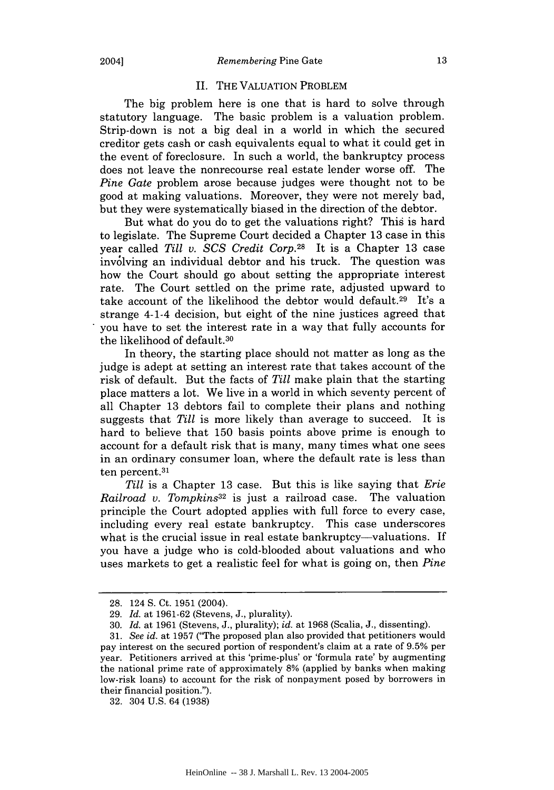#### *Remembering* Pine Gate

### II. THE VALUATION PROBLEM

The big problem here is one that is hard to solve through statutory language. The basic problem is a valuation problem. Strip-down is not a big deal in a world in which the secured creditor gets cash or cash equivalents equal to what it could get in the event of foreclosure. In such a world, the bankruptcy process does not leave the nonrecourse real estate lender worse off. The *Pine Gate* problem arose because judges were thought not to be good at making valuations. Moreover, they were not merely bad, but they were systematically biased in the direction of the debtor.

But what do you do to get the valuations right? This is hard to legislate. The Supreme Court decided a Chapter 13 case in this year called *Till v. SCS Credit Corp.28* It is a Chapter 13 case involving an individual debtor and his truck. The question was how the Court should go about setting the appropriate interest rate. The Court settled on the prime rate, adjusted upward to take account of the likelihood the debtor would default.<sup>29</sup> It's a strange 4-1-4 decision, but eight of the nine justices agreed that you have to set the interest rate in a way that fully accounts for the likelihood of default. <sup>30</sup>

In theory, the starting place should not matter as long as the judge is adept at setting an interest rate that takes account of the risk of default. But the facts of *Till* make plain that the starting place matters a lot. We live in a world in which seventy percent of all Chapter 13 debtors fail to complete their plans and nothing suggests that *Till* is more likely than average to succeed. It is hard to believe that 150 basis points above prime is enough to account for a default risk that is many, many times what one sees in an ordinary consumer loan, where the default rate is less than ten percent.<sup>31</sup>

*Till* is a Chapter 13 case. But this is like saying that *Erie Railroad v. Tompkins32* is just a railroad case. The valuation principle the Court adopted applies with full force to every case, including every real estate bankruptcy. This case underscores what is the crucial issue in real estate bankruptcy-valuations. If you have a judge who is cold-blooded about valuations and who uses markets to get a realistic feel for what is going on, then *Pine*

<sup>28. 124</sup> S. Ct. 1951 (2004).

<sup>29.</sup> *Id.* at 1961-62 (Stevens, J., plurality).

<sup>30.</sup> *Id.* at 1961 (Stevens, J., plurality); *id.* at 1968 (Scalia, J., dissenting).

<sup>31.</sup> *See id.* at 1957 ("The proposed plan also provided that petitioners would pay interest on the secured portion of respondent's claim at a rate of 9.5% per year. Petitioners arrived at this 'prime-plus' or 'formula rate' by augmenting the national prime rate of approximately 8% (applied by banks when making low-risk loans) to account for the risk of nonpayment posed by borrowers in their financial position.").

<sup>32. 304</sup> U.S. 64 (1938)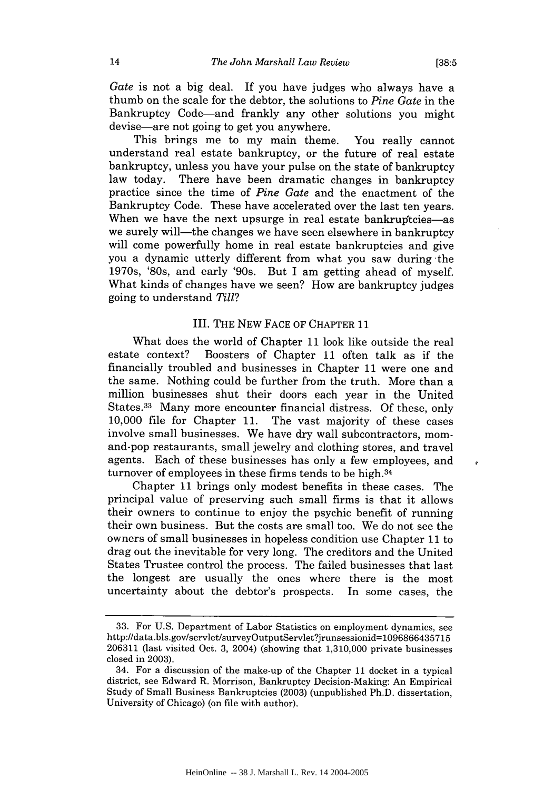*Gate* is not a big deal. If you have judges who always have a thumb on the scale for the debtor, the solutions to *Pine Gate* in the Bankruptcy Code-and frankly any other solutions you might devise-are not going to get you anywhere.

This brings me to my main theme. You really cannot understand real estate bankruptcy, or the future of real estate bankruptcy, unless you have your pulse on the state of bankruptcy law today. There have been dramatic changes in bankruptcy practice since the time of *Pine Gate* and the enactment of the Bankruptcy Code. These have accelerated over the last ten years. When we have the next upsurge in real estate bankruptcies-as we surely will—the changes we have seen elsewhere in bankruptcy will come powerfully home in real estate bankruptcies and give you a dynamic utterly different from what you saw during the 1970s, '80s, and early '90s. But I am getting ahead of myself. What kinds of changes have we seen? How are bankruptcy judges going to understand *Till?*

## III. THE NEW FACE OF CHAPTER 11

What does the world of Chapter 11 look like outside the real estate context? Boosters of Chapter 11 often talk as if the financially troubled and businesses in Chapter 11 were one and the same. Nothing could be further from the truth. More than a million businesses shut their doors each year in the United States.<sup>33</sup> Many more encounter financial distress. Of these, only 10,000 file for Chapter 11. The vast majority of these cases The vast majority of these cases involve small businesses. We have dry wall subcontractors, momand-pop restaurants, small jewelry and clothing stores, and travel agents. Each of these businesses has only a few employees, and turnover of employees in these firms tends to be high. <sup>34</sup>

Chapter 11 brings only modest benefits in these cases. The principal value of preserving such small firms is that it allows their owners to continue to enjoy the psychic benefit of running their own business. But the costs are small too. We do not see the owners of small businesses in hopeless condition use Chapter 11 to drag out the inevitable for very long. The creditors and the United States Trustee control the process. The failed businesses that last the longest are usually the ones where there is the most uncertainty about the debtor's prospects. In some cases, the

14

<sup>33.</sup> For U.S. Department of Labor Statistics on employment dynamics, see http://data.bls.gov/servlet/surveyOutputServlet?jrunsessionid=1096866435715 206311 (last visited Oct. 3, 2004) (showing that 1,310,000 private businesses closed in 2003).

<sup>34.</sup> For a discussion of the make-up of the Chapter 11 docket in a typical district, see Edward R. Morrison, Bankruptcy Decision-Making: An Empirical Study of Small Business Bankruptcies (2003) (unpublished Ph.D. dissertation, University of Chicago) (on file with author).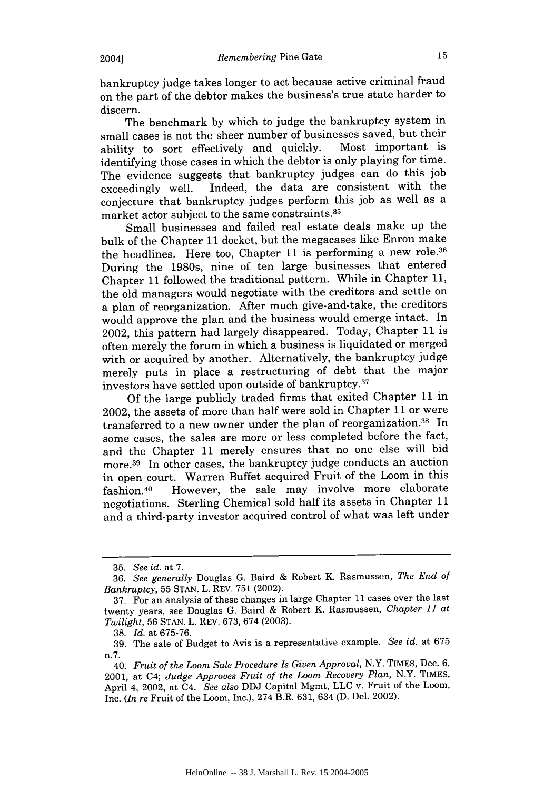20041

bankruptcy judge takes longer to act because active criminal fraud on the part of the debtor makes the business's true state harder to discern.

The benchmark by which to judge the bankruptcy system in small cases is not the sheer number of businesses saved, but their<br>ability to sort, effectively and quickly. Most important is ability to sort effectively and quickly. identifying those cases in which the debtor is only playing for time. The evidence suggests that bankruptcy judges can do this job exceedingly well. Indeed, the data are consistent with the Indeed, the data are consistent with the conjecture that bankruptcy judges perform this job as well as a market actor subject to the same constraints. <sup>35</sup>

Small businesses and failed real estate deals make up the bulk of the Chapter 11 docket, but the megacases like Enron make the headlines. Here too, Chapter 11 is performing a new role.<sup>36</sup> During the 1980s, nine of ten large businesses that entered Chapter 11 followed the traditional pattern. While in Chapter 11, the old managers would negotiate with the creditors and settle on a plan of reorganization. After much give-and-take, the creditors would approve the plan and the business would emerge intact. In 2002, this pattern had largely disappeared. Today, Chapter 11 is often merely the forum in which a business is liquidated or merged with or acquired by another. Alternatively, the bankruptcy judge merely puts in place a restructuring of debt that the major investors have settled upon outside of bankruptcy.<sup>37</sup>

Of the large publicly traded firms that exited Chapter 11 in 2002, the assets of more than half were sold in Chapter 11 or were transferred to a new owner under the plan of reorganization. 38 In some cases, the sales are more or less completed before the fact, and the Chapter 11 merely ensures that no one else will bid more.39 In other cases, the bankruptcy judge conducts an auction in open court. Warren Buffet acquired Fruit of the Loom in this fashion.40 However, the sale may involve more elaborate negotiations. Sterling Chemical sold half its assets in Chapter 11 and a third-party investor acquired control of what was left under

<sup>35.</sup> *See id.* at 7.

<sup>36.</sup> *See generally* Douglas G. Baird & Robert K. Rasmussen, *The End of Bankruptcy,* 55 STAN. L. REV. 751 (2002).

<sup>37.</sup> For an analysis of these changes in large Chapter 11 cases over the last twenty years, see Douglas G. Baird & Robert K. Rasmussen, *Chapter 11 at Twilight,* 56 STAN. L. REV. 673, 674 (2003).

<sup>38.</sup> *Id.* at 675-76.

<sup>39.</sup> The sale of Budget to Avis is a representative example. *See id.* at 675 n.7.

<sup>40.</sup> *Fruit of the Loom Sale Procedure Is Given Approval,* N.Y. TIMES, Dec. 6, 2001, at C4; *Judge Approves Fruit of the Loom Recovery Plan,* N.Y. TIMES, April 4, 2002, at C4. *See also* DDJ Capital Mgmt, LLC v. Fruit of the Loom, Inc. *(In re* Fruit of the Loom, Inc.), 274 B.R. 631, 634 (D. Del. 2002).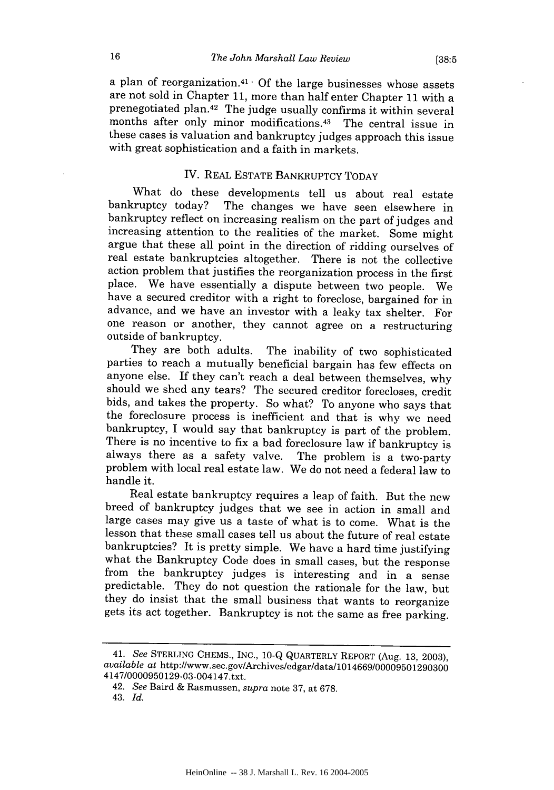a plan of reorganization. $41 \cdot$  Of the large businesses whose assets are not sold in Chapter 11, more than half enter Chapter 11 with a prenegotiated plan.42 The judge usually confirms it within several months after only minor modifications.43 The central issue in these cases is valuation and bankruptcy judges approach this issue with great sophistication and a faith in markets.

# IV. REAL ESTATE BANKRUPTCY TODAY

What do these developments tell us about real estate<br>bankruptcy today? The changes we have seen elsewhere in The changes we have seen elsewhere in bankruptcy reflect on increasing realism on the part of judges and increasing attention to the realities of the market. Some might argue that these all point in the direction of ridding ourselves of real estate bankruptcies altogether. There is not the collective action problem that justifies the reorganization process in the first place. We have essentially a dispute between two people. We have a secured creditor with a right to foreclose, bargained for in advance, and we have an investor with a leaky tax shelter. For one reason or another, they cannot agree on a restructuring outside of bankruptcy.

They are both adults. The inability of two sophisticated parties to reach a mutually beneficial bargain has few effects on anyone else. If they can't reach a deal between themselves, why should we shed any tears? The secured creditor forecloses, credit bids, and takes the property. So what? To anyone who says that the foreclosure process is inefficient and that is why we need bankruptcy, I would say that bankruptcy is part of the problem. There is no incentive to fix a bad foreclosure law if bankruptcy is always there as a safety valve. The problem is a two-party problem with local real estate law. We do not need a federal law to handle it.

Real estate bankruptcy requires a leap of faith. But the new breed of bankruptcy judges that we see in action in small and large cases may give us a taste of what is to come. What is the lesson that these small cases tell us about the future of real estate bankruptcies? It is pretty simple. We have a hard time justifying what the Bankruptcy Code does in small cases, but the response from the bankruptcy judges is interesting and in a sense predictable. They do not question the rationale for the law, but they do insist that the small business that wants to reorganize gets its act together. Bankruptcy is not the same as free parking.

<sup>41.</sup> *See* STERLING CHEMS., INC., 10-Q QUARTERLY REPORT (Aug. 13, 2003), *available at* http://www.sec.gov/Archives/edgar/data/1O14669/0009501290300 4147/0000950129-03-004147.txt.

<sup>42.</sup> *See* Baird & Rasmussen, *supra* note 37, at 678. 43. *Id.*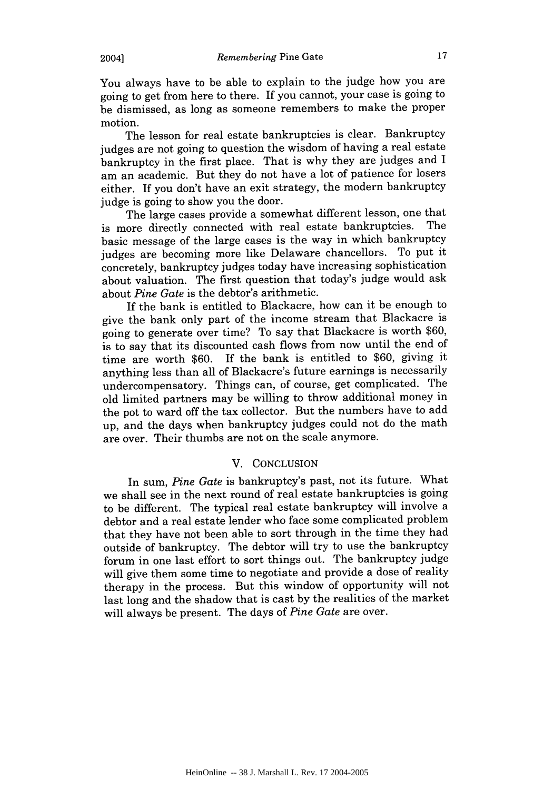You always have to be able to explain to the judge how you are going to get from here to there. If you cannot, your case is going to be dismissed, as long as someone remembers to make the proper motion.

The lesson for real estate bankruptcies is clear. Bankruptcy judges are not going to question the wisdom of having a real estate bankruptcy in the first place. That is why they are judges and I am an academic. But they do not have a lot of patience for losers either. If you don't have an exit strategy, the modern bankruptcy judge is going to show you the door.

The large cases provide a somewhat different lesson, one that<br>case directly connected with real estate hankruptcies. The is more directly connected with real estate bankruptcies. basic message of the large cases is the way in which bankruptcy judges are becoming more like Delaware chancellors. To put it concretely, bankruptcy judges today have increasing sophistication about valuation. The first question that today's judge would ask about *Pine* Gate is the debtor's arithmetic.

If the bank is entitled to Blackacre, how can it be enough to give the bank only part of the income stream that Blackacre is going to generate over time? To say that Blackacre is worth \$60, is to say that its discounted cash flows from now until the end of time are worth \$60. If the bank is entitled to \$60, giving it anything less than all of Blackacre's future earnings is necessarily undercompensatory. Things can, of course, get complicated. The old limited partners may be willing to throw additional money in the pot to ward off the tax collector. But the numbers have to add up, and the days when bankruptcy judges could not do the math are over. Their thumbs are not on the scale anymore.

#### V. CONCLUSION

In sum, *Pine Gate* is bankruptcy's past, not its future. What we shall see in the next round of real estate bankruptcies is going to be different. The typical real estate bankruptcy will involve a debtor and a real estate lender who face some complicated problem that they have not been able to sort through in the time they had outside of bankruptcy. The debtor will try to use the bankruptcy forum in one last effort to sort things out. The bankruptcy judge will give them some time to negotiate and provide a dose of reality therapy in the process. But this window of opportunity will not last long and the shadow that is cast by the realities of the market will always be present. The days of *Pine Gate* are over.